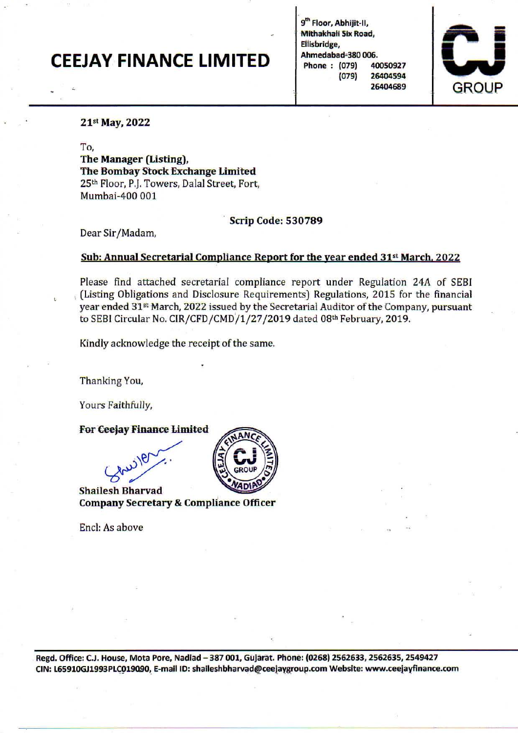## CEEJAY FINANCE LIMITED

9<sup>th</sup> Floor, Abhijit-II, Mithakhali Six Road, Eiiisbridge, Ahmedabad=380 006. Phone : (079) 40050927 (079) 26404594 26404689



## 21st May, 2022

*To,* 

The Manager (Listing), The Bombay stock Exchange limited 25<sup>th</sup> Floor, P.J. Towers, Dalal Street, Fort, Mumbai-400 001

, Scrip Code: 530789

Dear Sir/ Madam,

## Sub: Annual Secretarial Compliance Report for the year ended 31<sup>st</sup> March, 2022

Please find attached secretarial compliance report under Regulation 24A of SEBI (Listing Obligations and Disclosure Requirements) Regulations, 2015 for the financial year ended 31st March, 2022 issued by the Secretarial Auditor of the Company, pursuant to SEBI Circular No. CIR/CFD/CMD/1/27/2019 dated 08th February, 2019.

Kindly acknowledge the receipt of the same.

Thanking You,

Yours Faithfully,

For Ceejay Finance Limited

Shailesh Bharvad Company Secretary & Compliance Officer

Encl: As above



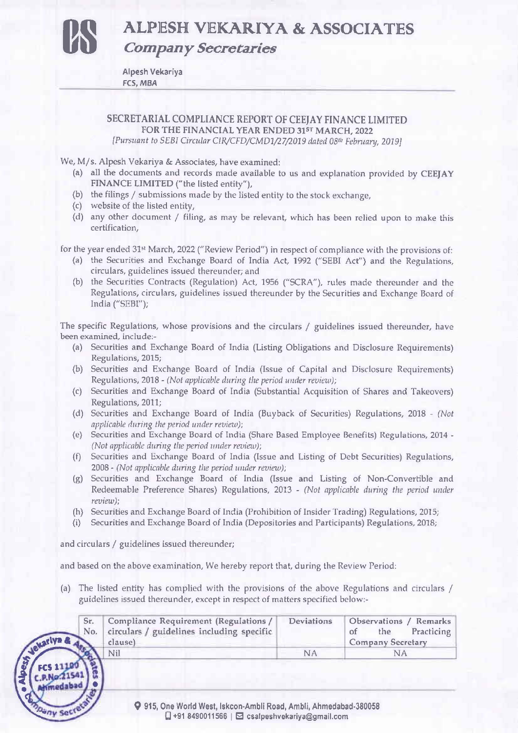**us ALP1ESH VEKARIYA & ASSOCIA'TES**  *Company Secretaries* 

Alpesh Vekariya res, MBA

SECRETARIAL COMPLIANCE REPORT OF CEEJAY FINANCE LIMITED FOR THE FINANCIAL YEAR ENDED 31ST MARCH, 2022 *[Pursuant to SEBI Circular CIR/CFD/CMD1/27/2019 dated 08<sup>th</sup> February, 2019]* 

We, M/s. Alpesh Vekariya & Associates, have examined:

- (a) all the documents and records made available to us and explanation provided by CEEJAY FINANCE LIMITED ("the listed entity"),
- (b) the filings  $/$  submissions made by the listed entity to the stock exchange,
- (c) website of the listed entity,
- (d) any other document / filing, as may be relevant, which has been relied upon to make this **certification,**

for the year ended 31" March, 2022 ("Review Period") in respect of compliance with the provisions of:

- (a) the Securities and Exchange Board of India Act, 1992 ("SEBI Act") and the Regulations, circulars, guidelines issued thereunder; and
- (b) the Securities Contracts (Regulation) Act, 1956 ("SCRA"), rules made thereunder and the Regulations, circulars, guidelines issued thereunder by the Securities and Exchange Board of India ("SEBI");

The specific Regulations, whose provisions and the circulars / guidelines issued thereunder, have **been examined, include:-**

- (a) Securities and Exchange Board of India (Listing Obligations and Disclosure Requirements) Regulations, 2015;
- (b) Securities and Exchange Board of India (Issue of Capital and Disclosure Requirements) Regulations, 2018 - *(Not applicable during the period under review);*
- (c) Securities and Exchange Board of India (Substantial Acquisition of Shares and Takeovers) Regulations, 2011;
- (d) Securities and Exchange Board of India (Buyback of Securities) Regulations, 2018 *(Not*  applicable during the period under review);
- (e) Securities and Exchange Board of India (Share Based Employee Benefits) Regulations, 2014 *(Not applicable during the period under review);*
- (f) Securities and Exchange Board of India (Issue and Listing of Debt Securities) Regulations, 2008 - *(Not applicable during the period under review);*
- (g) Securities and Exchange Board of India (Issue and Listing of Non-Convertible and Redeemable Preference Shares) Regulations, 2013 - *(Not applicable during the period under review);*
- (h) Securities and Exchange Board of India (Prohibition of Insider Trading) Regulations, 2015;
- (i) Securities and Exchange Board of India (Depositories and Participants) Regulations, 2018;

and circulars / guidelines issued thereunder;

medaba

ny Sect

and based on the above examination, We hereby report that, during the Review Period:

(a) The listed entity has complied with the provisions of the above Regulations and circulars / guidelines issued thereunder, except in respect of matters specified below:-

| Sr.   Compliance Requirement (Regulations /<br>No. circulars / guidelines including specific<br>clause) | Deviations | Observations / Remarks<br>of the Practicing<br><b>Company Secretary</b> |
|---------------------------------------------------------------------------------------------------------|------------|-------------------------------------------------------------------------|
| Nil                                                                                                     |            |                                                                         |